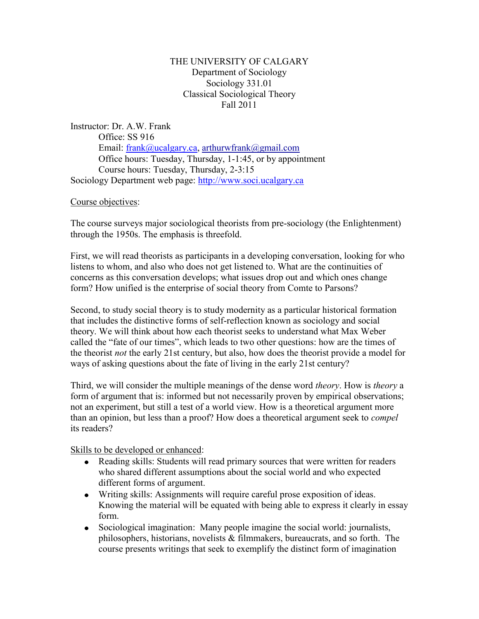# THE UNIVERSITY OF CALGARY Department of Sociology Sociology 331.01 Classical Sociological Theory Fall 2011

Instructor: Dr. A.W. Frank Office: SS 916 Email: [frank@ucalgary.ca,](mailto:frank@ucalgary.ca) [arthurwfrank@gmail.com](mailto:arthurwfrank@gmail.com) Office hours: Tuesday, Thursday, 1-1:45, or by appointment Course hours: Tuesday, Thursday, 2-3:15 Sociology Department web page: [http://www.soci.ucalgary.ca](http://www.soci.ucalgary.ca/)

Course objectives:

The course surveys major sociological theorists from pre-sociology (the Enlightenment) through the 1950s. The emphasis is threefold.

First, we will read theorists as participants in a developing conversation, looking for who listens to whom, and also who does not get listened to. What are the continuities of concerns as this conversation develops; what issues drop out and which ones change form? How unified is the enterprise of social theory from Comte to Parsons?

Second, to study social theory is to study modernity as a particular historical formation that includes the distinctive forms of self-reflection known as sociology and social theory. We will think about how each theorist seeks to understand what Max Weber called the "fate of our times", which leads to two other questions: how are the times of the theorist *not* the early 21st century, but also, how does the theorist provide a model for ways of asking questions about the fate of living in the early 21st century?

Third, we will consider the multiple meanings of the dense word *theory*. How is *theory* a form of argument that is: informed but not necessarily proven by empirical observations; not an experiment, but still a test of a world view. How is a theoretical argument more than an opinion, but less than a proof? How does a theoretical argument seek to *compel* its readers?

Skills to be developed or enhanced:

- Reading skills: Students will read primary sources that were written for readers who shared different assumptions about the social world and who expected different forms of argument.
- Writing skills: Assignments will require careful prose exposition of ideas. Knowing the material will be equated with being able to express it clearly in essay form.
- Sociological imagination: Many people imagine the social world: journalists, philosophers, historians, novelists  $\&$  filmmakers, bureaucrats, and so forth. The course presents writings that seek to exemplify the distinct form of imagination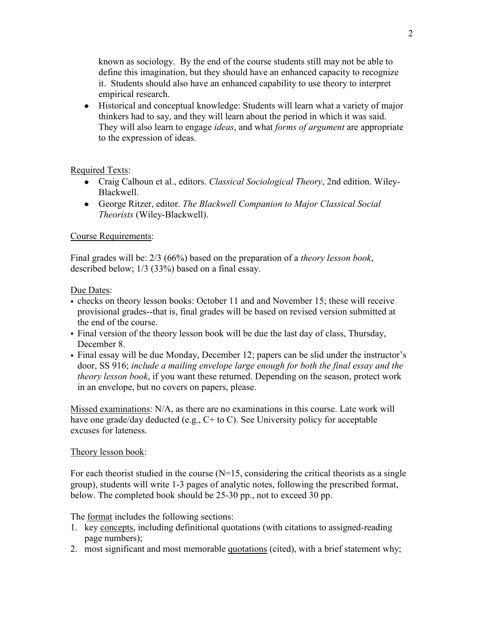known as sociology. By the end of the course students still may not be able to define this imagination, but they should have an enhanced capacity to recognize it. Students should also have an enhanced capability to use theory to interpret empirical research.

Historical and conceptual knowledge: Students will learn what a variety of major thinkers had to say, and they will learn about the period in which it was said. They will also learn to engage *ideas*, and what *forms of argument* are appropriate to the expression of ideas.

Required Texts:

- Craig Calhoun et al., editors. *Classical Sociological Theory*, 2nd edition. Wiley-Blackwell.
- George Ritzer, editor. *The Blackwell Companion to Major Classical Social Theorists* (Wiley-Blackwell).

# Course Requirements:

Final grades will be: 2/3 (66%) based on the preparation of a *theory lesson book*, described below; 1/3 (33%) based on a final essay.

Due Dates:

- checks on theory lesson books: October 11 and and November 15; these will receive provisional grades--that is, final grades will be based on revised version submitted at the end of the course.
- Final version of the theory lesson book will be due the last day of class, Thursday, December 8.
- Final essay will be due Monday, December 12; papers can be slid under the instructor's door, SS 916; *include a mailing envelope large enough for both the final essay and the theory lesson book*, if you want these returned. Depending on the season, protect work in an envelope, but no covers on papers, please.

Missed examinations: N/A, as there are no examinations in this course. Late work will have one grade/day deducted (e.g., C+ to C). See University policy for acceptable excuses for lateness.

## Theory lesson book:

For each theorist studied in the course  $(N=15)$ , considering the critical theorists as a single group), students will write 1-3 pages of analytic notes, following the prescribed format, below. The completed book should be 25-30 pp., not to exceed 30 pp.

The format includes the following sections:

- 1. key concepts, including definitional quotations (with citations to assigned-reading page numbers);
- 2. most significant and most memorable quotations (cited), with a brief statement why;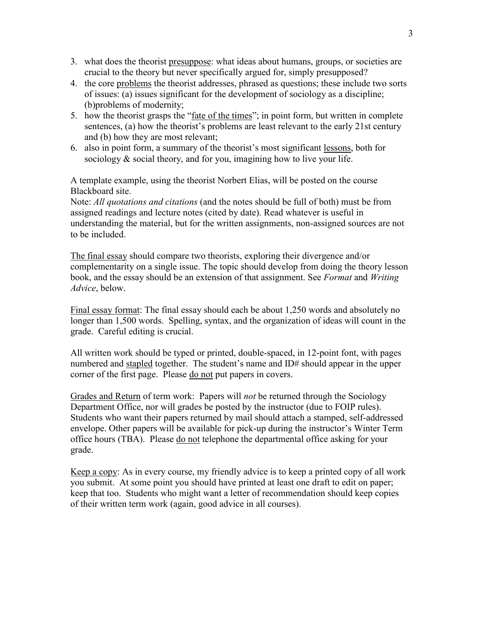- 3. what does the theorist presuppose: what ideas about humans, groups, or societies are crucial to the theory but never specifically argued for, simply presupposed?
- 4. the core problems the theorist addresses, phrased as questions; these include two sorts of issues: (a) issues significant for the development of sociology as a discipline; (b)problems of modernity;
- 5. how the theorist grasps the "fate of the times"; in point form, but written in complete sentences, (a) how the theorist's problems are least relevant to the early 21st century and (b) how they are most relevant;
- 6. also in point form, a summary of the theorist's most significant lessons, both for sociology & social theory, and for you, imagining how to live your life.

A template example, using the theorist Norbert Elias, will be posted on the course Blackboard site.

Note: *All quotations and citations* (and the notes should be full of both) must be from assigned readings and lecture notes (cited by date). Read whatever is useful in understanding the material, but for the written assignments, non-assigned sources are not to be included.

The final essay should compare two theorists, exploring their divergence and/or complementarity on a single issue. The topic should develop from doing the theory lesson book, and the essay should be an extension of that assignment. See *Format* and *Writing Advice*, below.

Final essay format: The final essay should each be about 1,250 words and absolutely no longer than 1,500 words. Spelling, syntax, and the organization of ideas will count in the grade. Careful editing is crucial.

All written work should be typed or printed, double-spaced, in 12-point font, with pages numbered and stapled together. The student's name and ID# should appear in the upper corner of the first page. Please do not put papers in covers.

Grades and Return of term work: Papers will *not* be returned through the Sociology Department Office, nor will grades be posted by the instructor (due to FOIP rules). Students who want their papers returned by mail should attach a stamped, self-addressed envelope. Other papers will be available for pick-up during the instructor's Winter Term office hours (TBA). Please do not telephone the departmental office asking for your grade.

Keep a copy: As in every course, my friendly advice is to keep a printed copy of all work you submit. At some point you should have printed at least one draft to edit on paper; keep that too. Students who might want a letter of recommendation should keep copies of their written term work (again, good advice in all courses).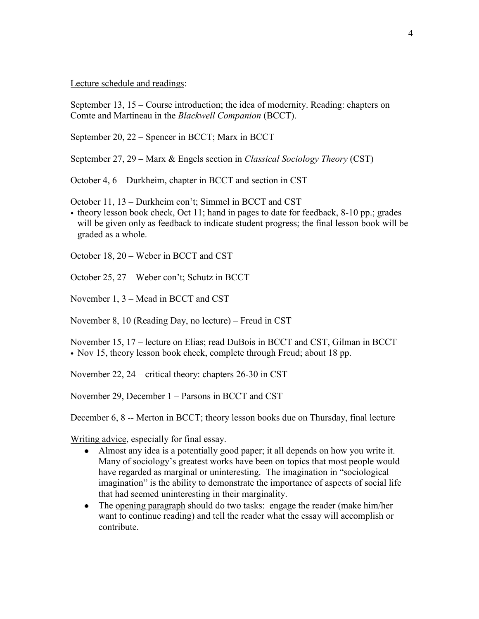### Lecture schedule and readings:

September 13, 15 – Course introduction; the idea of modernity. Reading: chapters on Comte and Martineau in the *Blackwell Companion* (BCCT).

September 20, 22 – Spencer in BCCT; Marx in BCCT

September 27, 29 – Marx & Engels section in *Classical Sociology Theory* (CST)

October 4, 6 – Durkheim, chapter in BCCT and section in CST

October 11, 13 – Durkheim con't; Simmel in BCCT and CST

• theory lesson book check, Oct 11; hand in pages to date for feedback, 8-10 pp.; grades will be given only as feedback to indicate student progress; the final lesson book will be graded as a whole.

October 18, 20 – Weber in BCCT and CST

October 25, 27 – Weber con't; Schutz in BCCT

November 1, 3 – Mead in BCCT and CST

November 8, 10 (Reading Day, no lecture) – Freud in CST

November 15, 17 – lecture on Elias; read DuBois in BCCT and CST, Gilman in BCCT • Nov 15, theory lesson book check, complete through Freud; about 18 pp.

November 22, 24 – critical theory: chapters 26-30 in CST

November 29, December 1 – Parsons in BCCT and CST

December 6, 8 -- Merton in BCCT; theory lesson books due on Thursday, final lecture

Writing advice, especially for final essay.

- Almost any idea is a potentially good paper; it all depends on how you write it. Many of sociology's greatest works have been on topics that most people would have regarded as marginal or uninteresting. The imagination in "sociological imagination" is the ability to demonstrate the importance of aspects of social life that had seemed uninteresting in their marginality.
- The opening paragraph should do two tasks: engage the reader (make him/her want to continue reading) and tell the reader what the essay will accomplish or contribute.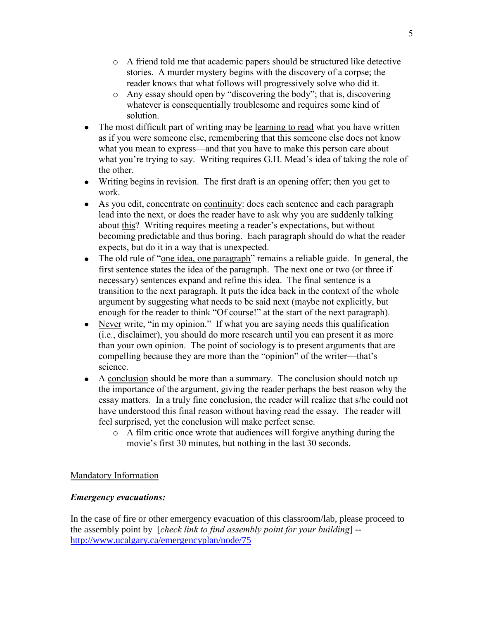- o A friend told me that academic papers should be structured like detective stories. A murder mystery begins with the discovery of a corpse; the reader knows that what follows will progressively solve who did it.
- o Any essay should open by "discovering the body"; that is, discovering whatever is consequentially troublesome and requires some kind of solution.
- The most difficult part of writing may be learning to read what you have written as if you were someone else, remembering that this someone else does not know what you mean to express—and that you have to make this person care about what you're trying to say. Writing requires G.H. Mead's idea of taking the role of the other.
- Writing begins in revision. The first draft is an opening offer; then you get to work.
- As you edit, concentrate on continuity: does each sentence and each paragraph lead into the next, or does the reader have to ask why you are suddenly talking about this? Writing requires meeting a reader's expectations, but without becoming predictable and thus boring. Each paragraph should do what the reader expects, but do it in a way that is unexpected.
- The old rule of "one idea, one paragraph" remains a reliable guide. In general, the first sentence states the idea of the paragraph. The next one or two (or three if necessary) sentences expand and refine this idea. The final sentence is a transition to the next paragraph. It puts the idea back in the context of the whole argument by suggesting what needs to be said next (maybe not explicitly, but enough for the reader to think "Of course!" at the start of the next paragraph).
- Never write, "in my opinion." If what you are saying needs this qualification (i.e., disclaimer), you should do more research until you can present it as more than your own opinion. The point of sociology is to present arguments that are compelling because they are more than the "opinion" of the writer—that's science.
- A conclusion should be more than a summary. The conclusion should notch up the importance of the argument, giving the reader perhaps the best reason why the essay matters. In a truly fine conclusion, the reader will realize that s/he could not have understood this final reason without having read the essay. The reader will feel surprised, yet the conclusion will make perfect sense.
	- o A film critic once wrote that audiences will forgive anything during the movie's first 30 minutes, but nothing in the last 30 seconds.

# Mandatory Information

# *Emergency evacuations:*

In the case of fire or other emergency evacuation of this classroom/lab, please proceed to the assembly point by [*check link to find assembly point for your building*] - <http://www.ucalgary.ca/emergencyplan/node/75>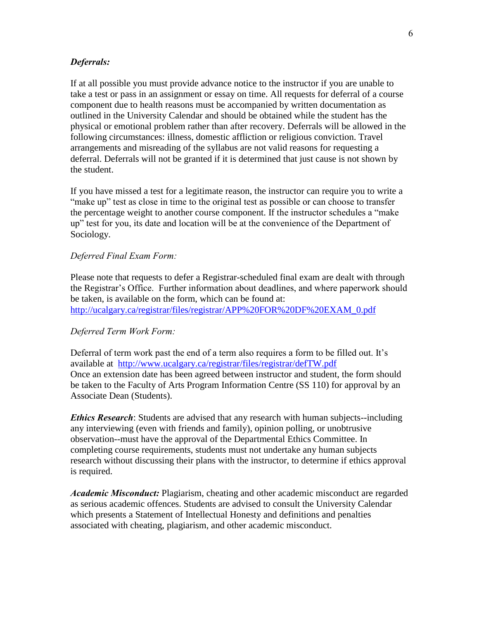### *Deferrals:*

If at all possible you must provide advance notice to the instructor if you are unable to take a test or pass in an assignment or essay on time. All requests for deferral of a course component due to health reasons must be accompanied by written documentation as outlined in the University Calendar and should be obtained while the student has the physical or emotional problem rather than after recovery. Deferrals will be allowed in the following circumstances: illness, domestic affliction or religious conviction. Travel arrangements and misreading of the syllabus are not valid reasons for requesting a deferral. Deferrals will not be granted if it is determined that just cause is not shown by the student.

If you have missed a test for a legitimate reason, the instructor can require you to write a "make up" test as close in time to the original test as possible or can choose to transfer the percentage weight to another course component. If the instructor schedules a "make up" test for you, its date and location will be at the convenience of the Department of Sociology.

#### *Deferred Final Exam Form:*

Please note that requests to defer a Registrar-scheduled final exam are dealt with through the Registrar's Office. Further information about deadlines, and where paperwork should be taken, is available on the form, which can be found at: [http://ucalgary.ca/registrar/files/registrar/APP%20FOR%20DF%20EXAM\\_0.pdf](http://ucalgary.ca/registrar/files/registrar/APP%20FOR%20DF%20EXAM_0.pdf)

#### *Deferred Term Work Form:*

Deferral of term work past the end of a term also requires a form to be filled out. It's available at <http://www.ucalgary.ca/registrar/files/registrar/defTW.pdf> Once an extension date has been agreed between instructor and student, the form should be taken to the Faculty of Arts Program Information Centre (SS 110) for approval by an Associate Dean (Students).

*Ethics Research*: Students are advised that any research with human subjects--including any interviewing (even with friends and family), opinion polling, or unobtrusive observation--must have the approval of the Departmental Ethics Committee. In completing course requirements, students must not undertake any human subjects research without discussing their plans with the instructor, to determine if ethics approval is required.

*Academic Misconduct:* Plagiarism, cheating and other academic misconduct are regarded as serious academic offences. Students are advised to consult the University Calendar which presents a Statement of Intellectual Honesty and definitions and penalties associated with cheating, plagiarism, and other academic misconduct.